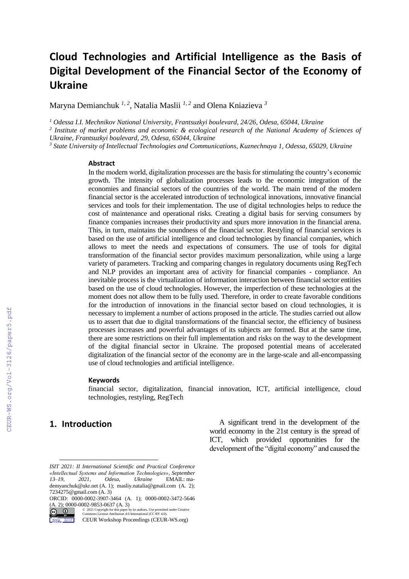# **Cloud Technologies and Artificial Intelligence as the Basis of Digital Development of the Financial Sector of the Economy of Ukraine**

Maryna Demianchuk *1, 2* , Natalia Maslii *1, 2* and Olena Kniazieva *<sup>3</sup>*

*<sup>1</sup> Odessa I.I. Mechnikov National University, Frantsuzkyi boulevard, 24/26, Odesa, 65044, Ukraine*

*2 Institute of market problems and economic & ecological research of the National Academy of Sciences of Ukraine, Frantsuzkyi boulevard, 29, Odesa, 65044, Ukraine*

*<sup>3</sup> State University of Intellectual Technologies and Communications, Kuznechnaya 1, Odessa, 65029, Ukraine*

#### **Abstract**

In the modern world, digitalization processes are the basis for stimulating the country's economic growth. The intensity of globalization processes leads to the economic integration of the economies and financial sectors of the countries of the world. The main trend of the modern financial sector is the accelerated introduction of technological innovations, innovative financial services and tools for their implementation. The use of digital technologies helps to reduce the cost of maintenance and operational risks. Creating a digital basis for serving consumers by finance companies increases their productivity and spurs more innovation in the financial arena. This, in turn, maintains the soundness of the financial sector. Restyling of financial services is based on the use of artificial intelligence and cloud technologies by financial companies, which allows to meet the needs and expectations of consumers. The use of tools for digital transformation of the financial sector provides maximum personalization, while using a large variety of parameters. Tracking and comparing changes in regulatory documents using RegTech and NLP provides an important area of activity for financial companies - compliance. An inevitable process is the virtualization of information interaction between financial sector entities based on the use of cloud technologies. However, the imperfection of these technologies at the moment does not allow them to be fully used. Therefore, in order to create favorable conditions for the introduction of innovations in the financial sector based on cloud technologies, it is necessary to implement a number of actions proposed in the article. The studies carried out allow us to assert that due to digital transformations of the financial sector, the efficiency of business processes increases and powerful advantages of its subjects are formed. But at the same time, there are some restrictions on their full implementation and risks on the way to the development of the digital financial sector in Ukraine. The proposed potential means of accelerated digitalization of the financial sector of the economy are in the large-scale and all-encompassing use of cloud technologies and artificial intelligence.

#### **Keywords 1**

financial sector, digitalization, financial innovation, ICT, artificial intelligence, cloud technologies, restyling, RegTech

### **1. Introduction**

A significant trend in the development of the world economy in the 21st century is the spread of ICT, which provided opportunities for the development of the "digital economy" and caused the

*ISIT 2021: II International Scientific and Practical Conference «Intellectual Systems and Information Technologies», September 13–19, 2021, Odesa, Ukraine* EMAIL: mademyanchuk@ukr.net (A. 1); masliy.natalia@gmail.com (A. 2); 7234275@gmail.com (A. 3)

ORCID: 0000-0002-3907-3464 (A. 1); 0000-0002-3472-5646 (A. 2); 0000-0002-9853-0637 (A. 3)

 $\boxed{6}$   $\boxed{0}$ ©️ 2021 Copyright for this paper by its authors. Use permitted under Creative Commons License Attribution 4.0 International (CC BY 4.0).

CEUR Workshop Proceedings (CEUR-WS.org)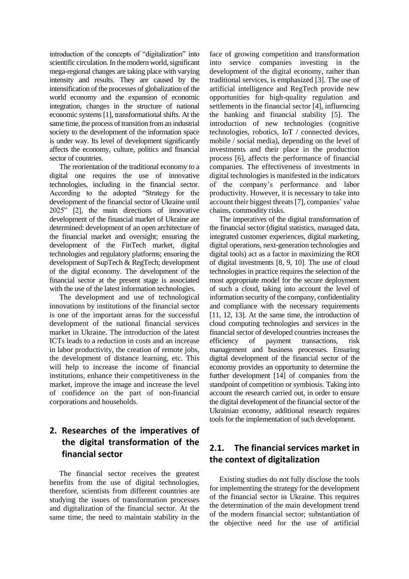introduction of the concepts of "digitalization" into scientific circulation. In the modern world, significant mega-regional changes are taking place with varying intensity and results. They are caused by the intensification of the processes of globalization of the world economy and the expansion of economic integration, changes in the structure of national economic systems [1], transformational shifts. At the same time, the process of transition from an industrial society to the development of the information space is under way. Its level of development significantly affects the economy, culture, politics and financial sector of countries.

The reorientation of the traditional economy to a digital one requires the use of innovative technologies, including in the financial sector. According to the adopted "Strategy for the development of the financial sector of Ukraine until 2025" [2], the main directions of innovative development of the financial market of Ukraine are determined: development of an open architecture of the financial market and oversight; ensuring the development of the FinTech market, digital technologies and regulatory platforms; ensuring the development of SupTech & RegTech; development of the digital economy. The development of the financial sector at the present stage is associated with the use of the latest information technologies.

The development and use of technological innovations by institutions of the financial sector is one of the important areas for the successful development of the national financial services market in Ukraine. The introduction of the latest ICTs leads to a reduction in costs and an increase in labor productivity, the creation of remote jobs, the development of distance learning, etc. This will help to increase the income of financial institutions, enhance their competitiveness in the market, improve the image and increase the level of confidence on the part of non-financial corporations and households.

## **2. Researches of the imperatives of the digital transformation of the financial sector**

The financial sector receives the greatest benefits from the use of digital technologies, therefore, scientists from different countries are studying the issues of transformation processes and digitalization of the financial sector. At the same time, the need to maintain stability in the

face of growing competition and transformation into service companies investing in the development of the digital economy, rather than traditional services, is emphasized [3]. The use of artificial intelligence and RegTech provide new opportunities for high-quality regulation and settlements in the financial sector [4], influencing the banking and financial stability [5]. The introduction of new technologies (cognitive technologies, robotics, IoT / connected devices, mobile / social media), depending on the level of investments and their place in the production process [6], affects the performance of financial companies. The effectiveness of investments in digital technologies is manifested in the indicators of the company's performance and labor productivity. However, it is necessary to take into account their biggest threats [7], companies' value chains, commodity risks.

The imperatives of the digital transformation of the financial sector (digital statistics, managed data, integrated customer experiences, digital marketing, digital operations, next-generation technologies and digital tools) act as a factor in maximizing the ROI of digital investments [8, 9, 10]. The use of cloud technologies in practice requires the selection of the most appropriate model for the secure deployment of such a cloud, taking into account the level of information security of the company, confidentiality and compliance with the necessary requirements [11, 12, 13]. At the same time, the introduction of cloud computing technologies and services in the financial sector of developed countries increases the efficiency of payment transactions, risk management and business processes. Ensuring digital development of the financial sector of the economy provides an opportunity to determine the further development [14] of companies from the standpoint of competition or symbiosis. Taking into account the research carried out, in order to ensure the digital development of the financial sector of the Ukrainian economy, additional research requires tools for the implementation of such development.

## **2.1. The financial services market in the context of digitalization**

Existing studies do not fully disclose the tools for implementing the strategy for the development of the financial sector in Ukraine. This requires the determination of the main development trend of the modern financial sector; substantiation of the objective need for the use of artificial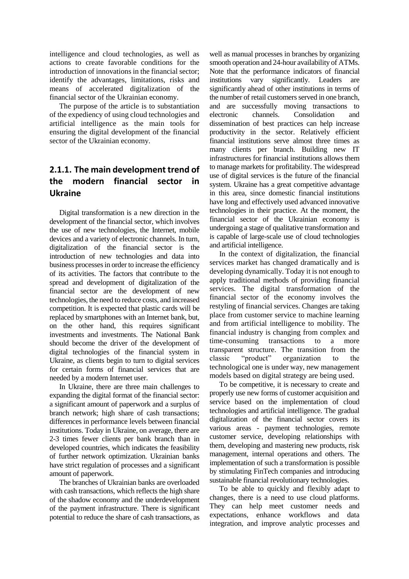intelligence and cloud technologies, as well as actions to create favorable conditions for the introduction of innovations in the financial sector; identify the advantages, limitations, risks and means of accelerated digitalization of the financial sector of the Ukrainian economy.

The purpose of the article is to substantiation of the expediency of using cloud technologies and artificial intelligence as the main tools for ensuring the digital development of the financial sector of the Ukrainian economy.

## **2.1.1. The main development trend of the modern financial sector in Ukraine**

Digital transformation is a new direction in the development of the financial sector, which involves the use of new technologies, the Internet, mobile devices and a variety of electronic channels. In turn, digitalization of the financial sector is the introduction of new technologies and data into business processes in order to increase the efficiency of its activities. The factors that contribute to the spread and development of digitalization of the financial sector are the development of new technologies, the need to reduce costs, and increased competition. It is expected that plastic cards will be replaced by smartphones with an Internet bank, but, on the other hand, this requires significant investments and investments. The National Bank should become the driver of the development of digital technologies of the financial system in Ukraine, as clients begin to turn to digital services for certain forms of financial services that are needed by a modern Internet user.

In Ukraine, there are three main challenges to expanding the digital format of the financial sector: a significant amount of paperwork and a surplus of branch network; high share of cash transactions; differences in performance levels between financial institutions. Today in Ukraine, on average, there are 2-3 times fewer clients per bank branch than in developed countries, which indicates the feasibility of further network optimization. Ukrainian banks have strict regulation of processes and a significant amount of paperwork.

The branches of Ukrainian banks are overloaded with cash transactions, which reflects the high share of the shadow economy and the underdevelopment of the payment infrastructure. There is significant potential to reduce the share of cash transactions, as

well as manual processes in branches by organizing smooth operation and 24-hour availability of ATMs. Note that the performance indicators of financial<br>institutions vary significantly. Leaders are significantly. Leaders are significantly ahead of other institutions in terms of the number of retail customers served in one branch, and are successfully moving transactions to electronic channels. Consolidation and dissemination of best practices can help increase productivity in the sector. Relatively efficient financial institutions serve almost three times as many clients per branch. Building new IT infrastructures for financial institutions allows them to manage markets for profitability. The widespread use of digital services is the future of the financial system. Ukraine has a great competitive advantage in this area, since domestic financial institutions have long and effectively used advanced innovative technologies in their practice. At the moment, the financial sector of the Ukrainian economy is undergoing a stage of qualitative transformation and is capable of large-scale use of cloud technologies and artificial intelligence.

In the context of digitalization, the financial services market has changed dramatically and is developing dynamically. Today it is not enough to apply traditional methods of providing financial services. The digital transformation of the financial sector of the economy involves the restyling of financial services. Changes are taking place from customer service to machine learning and from artificial intelligence to mobility. The financial industry is changing from complex and time-consuming transactions to a more transparent structure. The transition from the classic "product" organization to the technological one is under way, new management models based on digital strategy are being used.

To be competitive, it is necessary to create and properly use new forms of customer acquisition and service based on the implementation of cloud technologies and artificial intelligence. The gradual digitalization of the financial sector covers its various areas - payment technologies, remote customer service, developing relationships with them, developing and mastering new products, risk management, internal operations and others. The implementation of such a transformation is possible by stimulating FinTech companies and introducing sustainable financial revolutionary technologies.

To be able to quickly and flexibly adapt to changes, there is a need to use cloud platforms. They can help meet customer needs and expectations, enhance workflows and data integration, and improve analytic processes and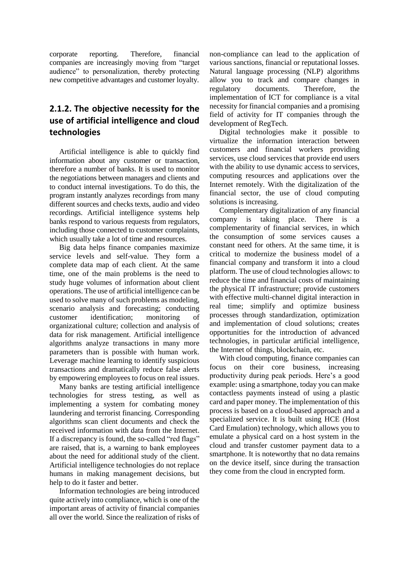corporate reporting. Therefore, financial companies are increasingly moving from "target audience" to personalization, thereby protecting new competitive advantages and customer loyalty.

## **2.1.2. The objective necessity for the use of artificial intelligence and cloud technologies**

Artificial intelligence is able to quickly find information about any customer or transaction, therefore a number of banks. It is used to monitor the negotiations between managers and clients and to conduct internal investigations. To do this, the program instantly analyzes recordings from many different sources and checks texts, audio and video recordings. Artificial intelligence systems help banks respond to various requests from regulators, including those connected to customer complaints, which usually take a lot of time and resources.

Big data helps finance companies maximize service levels and self-value. They form a complete data map of each client. At the same time, one of the main problems is the need to study huge volumes of information about client operations. The use of artificial intelligence can be used to solve many of such problems as modeling, scenario analysis and forecasting; conducting customer identification; monitoring of organizational culture; collection and analysis of data for risk management. Artificial intelligence algorithms analyze transactions in many more parameters than is possible with human work. Leverage machine learning to identify suspicious transactions and dramatically reduce false alerts by empowering employees to focus on real issues.

Many banks are testing artificial intelligence technologies for stress testing, as well as implementing a system for combating money laundering and terrorist financing. Corresponding algorithms scan client documents and check the received information with data from the Internet. If a discrepancy is found, the so-called "red flags" are raised, that is, a warning to bank employees about the need for additional study of the client. Artificial intelligence technologies do not replace humans in making management decisions, but help to do it faster and better.

Information technologies are being introduced quite actively into compliance, which is one of the important areas of activity of financial companies all over the world. Since the realization of risks of

non-compliance can lead to the application of various sanctions, financial or reputational losses. Natural language processing (NLP) algorithms allow you to track and compare changes in regulatory documents. Therefore, the implementation of ICT for compliance is a vital necessity for financial companies and a promising field of activity for IT companies through the development of RegTech.

Digital technologies make it possible to virtualize the information interaction between customers and financial workers providing services, use cloud services that provide end users with the ability to use dynamic access to services, computing resources and applications over the Internet remotely. With the digitalization of the financial sector, the use of cloud computing solutions is increasing.

Complementary digitalization of any financial company is taking place. There is a complementarity of financial services, in which the consumption of some services causes a constant need for others. At the same time, it is critical to modernize the business model of a financial company and transform it into a cloud platform. The use of cloud technologies allows: to reduce the time and financial costs of maintaining the physical IT infrastructure; provide customers with effective multi-channel digital interaction in real time; simplify and optimize business processes through standardization, optimization and implementation of cloud solutions; creates opportunities for the introduction of advanced technologies, in particular artificial intelligence, the Internet of things, blockchain, etc.

With cloud computing, finance companies can focus on their core business, increasing productivity during peak periods. Here's a good example: using a smartphone, today you can make contactless payments instead of using a plastic card and paper money. The implementation of this process is based on a cloud-based approach and a specialized service. It is built using HCE (Host Card Emulation) technology, which allows you to emulate a physical card on a host system in the cloud and transfer customer payment data to a smartphone. It is noteworthy that no data remains on the device itself, since during the transaction they come from the cloud in encrypted form.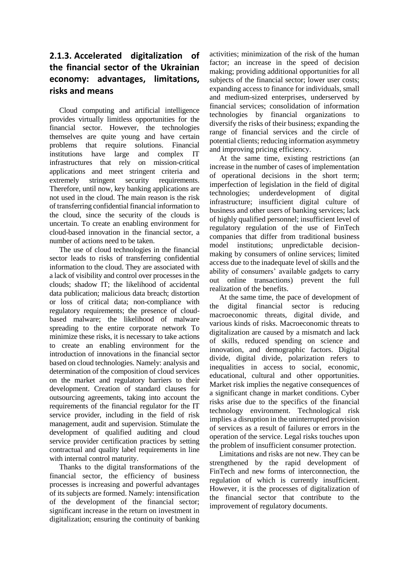## **2.1.3. Accelerated digitalization of the financial sector of the Ukrainian economy: advantages, limitations, risks and means**

Cloud computing and artificial intelligence provides virtually limitless opportunities for the financial sector. However, the technologies themselves are quite young and have certain problems that require solutions. Financial institutions have large and complex IT infrastructures that rely on mission-critical applications and meet stringent criteria and extremely stringent security requirements. Therefore, until now, key banking applications are not used in the cloud. The main reason is the risk of transferring confidential financial information to the cloud, since the security of the clouds is uncertain. To create an enabling environment for cloud-based innovation in the financial sector, a number of actions need to be taken.

The use of cloud technologies in the financial sector leads to risks of transferring confidential information to the cloud. They are associated with a lack of visibility and control over processes in the clouds; shadow IT; the likelihood of accidental data publication; malicious data breach; distortion or loss of critical data; non-compliance with regulatory requirements; the presence of cloudbased malware; the likelihood of malware spreading to the entire corporate network To minimize these risks, it is necessary to take actions to create an enabling environment for the introduction of innovations in the financial sector based on cloud technologies. Namely: analysis and determination of the composition of cloud services on the market and regulatory barriers to their development. Creation of standard clauses for outsourcing agreements, taking into account the requirements of the financial regulator for the IT service provider, including in the field of risk management, audit and supervision. Stimulate the development of qualified auditing and cloud service provider certification practices by setting contractual and quality label requirements in line with internal control maturity.

Thanks to the digital transformations of the financial sector, the efficiency of business processes is increasing and powerful advantages of its subjects are formed. Namely: intensification of the development of the financial sector; significant increase in the return on investment in digitalization; ensuring the continuity of banking

activities; minimization of the risk of the human factor; an increase in the speed of decision making; providing additional opportunities for all subjects of the financial sector; lower user costs; expanding access to finance for individuals, small and medium-sized enterprises, underserved by financial services; consolidation of information technologies by financial organizations to diversify the risks of their business; expanding the range of financial services and the circle of potential clients; reducing information asymmetry and improving pricing efficiency.

At the same time, existing restrictions (an increase in the number of cases of implementation of operational decisions in the short term; imperfection of legislation in the field of digital technologies; underdevelopment of digital infrastructure; insufficient digital culture of business and other users of banking services; lack of highly qualified personnel; insufficient level of regulatory regulation of the use of FinTech companies that differ from traditional business model institutions; unpredictable decisionmaking by consumers of online services; limited access due to the inadequate level of skills and the ability of consumers' available gadgets to carry out online transactions) prevent the full realization of the benefits.

At the same time, the pace of development of the digital financial sector is reducing macroeconomic threats, digital divide, and various kinds of risks. Macroeconomic threats to digitalization are caused by a mismatch and lack of skills, reduced spending on science and innovation, and demographic factors. Digital divide, digital divide, polarization refers to inequalities in access to social, economic, educational, cultural and other opportunities. Market risk implies the negative consequences of a significant change in market conditions. Cyber risks arise due to the specifics of the financial technology environment. Technological risk implies a disruption in the uninterrupted provision of services as a result of failures or errors in the operation of the service. Legal risks touches upon the problem of insufficient consumer protection.

Limitations and risks are not new. They can be strengthened by the rapid development of FinTech and new forms of interconnection, the regulation of which is currently insufficient. However, it is the processes of digitalization of the financial sector that contribute to the improvement of regulatory documents.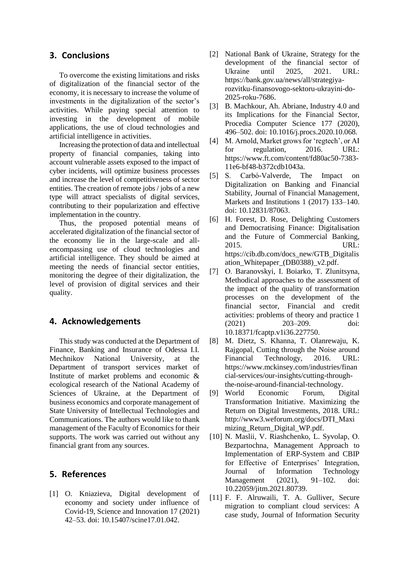#### **3. Conclusions**

To overcome the existing limitations and risks of digitalization of the financial sector of the economy, it is necessary to increase the volume of investments in the digitalization of the sector's activities. While paying special attention to investing in the development of mobile applications, the use of cloud technologies and artificial intelligence in activities.

Increasing the protection of data and intellectual property of financial companies, taking into account vulnerable assets exposed to the impact of cyber incidents, will optimize business processes and increase the level of competitiveness of sector entities. The creation of remote jobs / jobs of a new type will attract specialists of digital services, contributing to their popularization and effective implementation in the country.

Thus, the proposed potential means of accelerated digitalization of the financial sector of the economy lie in the large-scale and allencompassing use of cloud technologies and artificial intelligence. They should be aimed at meeting the needs of financial sector entities, monitoring the degree of their digitalization, the level of provision of digital services and their quality.

#### **4. Acknowledgements**

This study was conducted at the Department of Finance, Banking and Insurance of Odessa I.I. Mechnikov National University, at the Department of transport services market of Institute of market problems and economic & ecological research of the National Academy of Sciences of Ukraine, at the Department of business economics and corporate management of State University of Intellectual Technologies and Communications. The authors would like to thank management of the Faculty of Economics for their supports. The work was carried out without any financial grant from any sources.

#### **5. References**

[1] O. [Kniazieva,](https://www.scopus.com/authid/detail.uri?authorId=56294054900) Digital development of economy and society under influence of Covid-19, Science and Innovation 17 (2021) 42–53. doi: [10.15407/scine17.01.042.](https://doi.org/10.15407/scine17.01.042)

- [2] National Bank of Ukraine, Strategy for the development of the financial sector of Ukraine until 2025, 2021. URL: [https://bank.gov.ua/news/all/strategiya](https://bank.gov.ua/news/all/strategiya-rozvitku-finansovogo-sektoru-ukrayini-do-2025-roku-7686)[rozvitku-finansovogo-sektoru-ukrayini-do-](https://bank.gov.ua/news/all/strategiya-rozvitku-finansovogo-sektoru-ukrayini-do-2025-roku-7686)[2025-roku-7686.](https://bank.gov.ua/news/all/strategiya-rozvitku-finansovogo-sektoru-ukrayini-do-2025-roku-7686)
- [3] B. Machkour, Ah. Abriane, Industry 4.0 and its Implications for the Financial Sector, Procedia Computer Science 177 (2020), 496–502. doi: [10.1016/j.procs.2020.10.068.](https://doi.org/10.1016/j.procs.2020.10.068)
- [4] M. Arnold, Market grows for 'regtech', or AI for regulation*,* 2016. URL: [https://www.ft.com/content/fd80ac50-7383-](https://www.ft.com/content/fd80ac50-7383-11e6-bf48-b372cdb1043a) [11e6-bf48-b372cdb1043a.](https://www.ft.com/content/fd80ac50-7383-11e6-bf48-b372cdb1043a)
- [5] S. Carbó-Valverde, The Impact on Digitalization on Banking and Financial Stability, Journal of Financial Management, Markets and Institutions 1 (2017) 133-140. doi: [10.12831/87063.](https://doi.org/10.12831/87063)
- [6] H. Forest, D. Rose, Delighting Customers and Democratising Finance: Digitalisation and the Future of Commercial Banking, 2015. URL: [https://cib.db.com/docs\\_new/GTB\\_Digitalis](https://cib.db.com/docs_new/GTB_Digitalisation_Whitepaper_(DB0388)_v2.pdf) [ation\\_Whitepaper\\_\(DB0388\)\\_v2.pdf.](https://cib.db.com/docs_new/GTB_Digitalisation_Whitepaper_(DB0388)_v2.pdf)
- [7] O. Baranovskyi, I. Boiarko, T. Zlunitsyna, Methodical approaches to the assessment of the impact of the quality of transformation processes on the development of the financial sector, Financial and credit activities: problems of theory and practice 1 (2021) 203–209. [doi:](https://doi.org/10.18371/fcaptp.v1i36.227750) [10.18371/fcaptp.v1i36.227750.](https://doi.org/10.18371/fcaptp.v1i36.227750)
- [8] M. Dietz, S. Khanna, T. Olanrewaju, K. Rajgopal, Cutting through the Noise around Financial Technology, 2016. URL: [https://www.mckinsey.com/industries/finan](https://www.mckinsey.com/industries/financial-services/our-insights/cutting-through-the-noise-around-financial-technology) [cial-services/our-insights/cutting-through](https://www.mckinsey.com/industries/financial-services/our-insights/cutting-through-the-noise-around-financial-technology)[the-noise-around-financial-technology.](https://www.mckinsey.com/industries/financial-services/our-insights/cutting-through-the-noise-around-financial-technology)
- [9] World Economic Forum, Digital Transformation Initiative. Maximizing the Return on Digital Investments, 2018. URL: [http://www3.weforum.org/docs/DTI\\_Maxi](http://www3.weforum.org/docs/DTI_Maximizing_Return_Digital_WP.pdf) mizing Return Digital WP.pdf.
- [10] N. Maslii, V. Riashchenko, L. Syvolap, О. Bezpartochna, Management Approach to Implementation of ERP-System and CBIP for Effective of Enterprises' Integration, Journal of Information Technology Management (2021), 91–102. doi: [10.22059/jitm.2021.80739.](https://doi.org/10.22059/jitm.2021.80739)
- [11] F. F. Alruwaili, T. A. Gulliver, Secure migration to compliant cloud services: A case study, Journal of Information Security